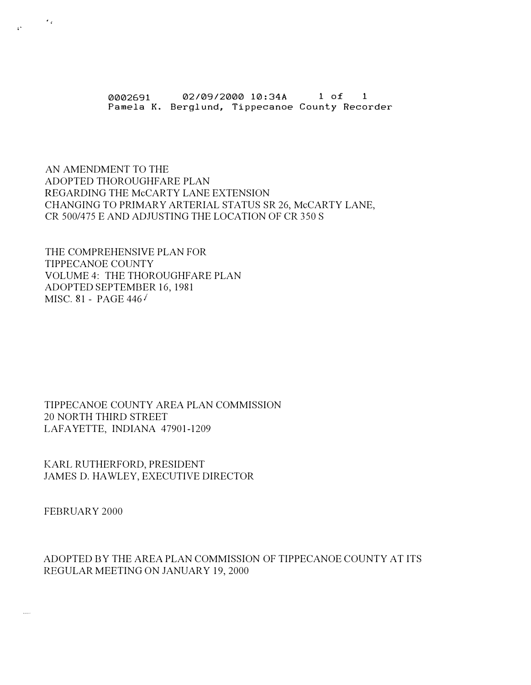0002691 02/09/2000 10:34A 1 o£ 1 Pamela K. Berglund, Tippecanoe County Recorder

AN AMENDMENT TO THE ADOPTED THOROUGHFARE PLAN REGARDING THE McCARTY LANE EXTENSION CHANGING TO PRIMARY ARTERIAL STATUS SR 26, McCARTY LANE, CR 500/475 E AND ADJUSTING THE LOCATION OF CR 350 S

THE COMPREHENSIVE PLAN FOR TIPPECANOE COUNTY VOLUME4: THE THOROUGHFARE PLAN ADOPTED SEPTEMBER 16 , 1981 MISC. 81 - PAGE 446<sup>/</sup>

TIPPECANOE COUNTY AREA PLAN COMMISSION 20 NORTH THIRD STREET LAFAYETTE, INDIANA 47901-1209

KARL RUTHERFORD, PRESIDENT JAMES D. HAWLEY, EXECUTIVE DIRECTOR

FEBRUARY 2000

 $^{\prime}$ ,

,.

ADOPTED BY THE AREA PLAN COMMISSION OF TIPPECANOE COUNTY AT ITS REGULAR MEETING ON JANUARY 19,2000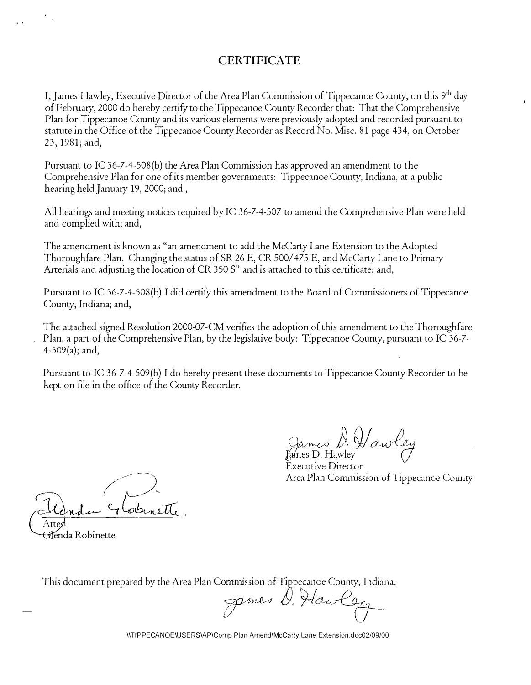## **CERTIFICATE**

I, James Hawley, Executive Director of the Area Plan Commission of Tippecanoe County, on this 9'h day of Februaty, 2000 do hereby certify to the Tippecanoe County Recorder that: That the Comprehensive Plan for Tippecanoe County and its various elements were previously adopted and recorded pursuant to statute in the Office of the Tippecanoe County Recorder as Record No. Misc. 81 page 434, on October 23, 1981; and,

Pursuant to IC 36-7-4-508(b) the Area Plan Commission has approved an amendment to the Comprehensive Plan for one of its member governments: Tippecanoe County, Indiana, at a public hearing held January 19, 2000; and ,

All hearings and meeting notices required by IC 36-7-4-507 to amend the Comprehensive Plan were held and complied with; and,

The amendment is known as "an amendment to add the McCarty Lane Extension to the Adopted Thoroughfare Plan. Changing the status of SR 26 E, CR 500/475 E, and McCarty Lane to Primary Arterials and adjusting the location of CR 350 S" and is attached to this certificate; and,

Pursuant to IC 36-7 -4-508(b) I did certify this amendment to the Board of Commissioners of Tippecanoe County, Indiana; and,

The attached signed Resolution 2000-07 -CM verifies the adoption of this amendment to the Thoroughfare Plan, a part of the Comprehensive Plan, by the legislative body: Tippecanoe County, pursuant to IC 36-7- 4-509(a); and,

Pursuant to IC 36-7-4-509(b) I do hereby present these documents to Tippecanoe County Recorder to be kept on file in the office of the County Recorder.

James D. Hawl

**Executive Director** Area Plan Commission of Tippecanoe County

 $\bigwedge_{\mathfrak{c}}\bigwedge_{\mathfrak{c}}$ Attest<br>Glenda Robinette  $\frac{1}{2}$ .<br>7 Atte <sup>7</sup>enda Robinette

. .

 $\epsilon_{\rm{max}}$ 

This document prepared by the Area Plan Commission of Tippecanoe County, Indiana.

Jemes D. Hawley

\\TIPPECANOE\USERS\AP\Comp Plan Amend\McCarty Lane Extension.doc02/09/00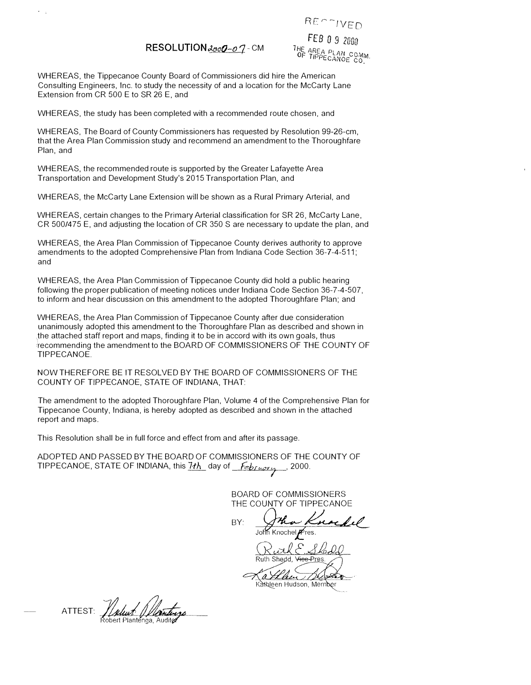#### RESOLUTION<sub>doo</sub>o-o 7 - CM

OF TIPPECANOE CO. FEB 0 9 2000<br>CM THE AREA PIAN CO

WHEREAS, the Tippecanoe County Board of Commissioners did hire the American Consulting Engineers, Inc. to study the necessity of and a location for the McCarty Lane Extension from CR 500 E to SR 26 E, and

WHEREAS, the study has been completed with a recommended route chosen, and

WHEREAS, The Board of County Commissioners has requested by Resolution 99-26-cm, that the Area Plan Commission study and recommend an amendment to the Thoroughfare Plan, and

WHEREAS, the recommended route is supported by the Greater Lafayette Area Transportation and Development Study's 2015 Transportation Plan, and

WHEREAS, the McCarty Lane Extension will be shown as a Rural Primary Arterial, and

WHEREAS, certain changes to the Primary Arterial classification for SR 26, McCarty Lane, CR 500/475 E, and adjusting the location of CR 350 S are necessary to update the plan, and

WHEREAS, the Area Plan Commission of Tippecanoe County derives authority to approve amendments to the adopted Comprehensive Plan from Indiana Code Section 36-7-4-511; and

WHEREAS, the Area Plan Commission of Tippecanoe County did hold a public hearing following the proper publication of meeting notices under Indiana Code Section 36-7-4-507, to inform and hear discussion on this amendment to the adopted Thoroughfare Plan; and

WHEREAS, the Area Plan Commission of Tippecanoe County after due consideration unanimously adopted this amendment to the Thoroughfare Plan as described and shown in .the attached staff report and maps, finding it to be in accord with its own goals, thus recommending the amendment to the BOARD OF COMMISSIONERS OF THE COUNTY OF TIPPECANOE.

NOW THEREFORE BE IT RESOLVED BY THE BOARD OF COMMISSIONERS OF THE COUNTY OF TIPPECANOE, STATE OF INDIANA, THAT:

The amendment to the adopted Thoroughfare Plan, Volume 4 of the Comprehensive Plan for Tippecanoe County, Indiana, is hereby adopted as described and shown in the attached report and maps.

This Resolution shall be in full force and effect from and after its passage.

TIPPECANOE, STATE OF INDIANA, this <u>7th\_</u> day of \_*\_\_\_ february*\_\_\_, 2000. ADOPTED AND PASSED BY THE BOARD OF COMMISSIONERS OF THE COUNTY OF

> **BOARD OF COMMISSIONERS** THE COUNTY OF TIPPECANOE

John Knockedel BY:

Viee-Pres Ruth Shedd atlan Des Kathleen Hudson, Member

Unlet Wanter ATTEST: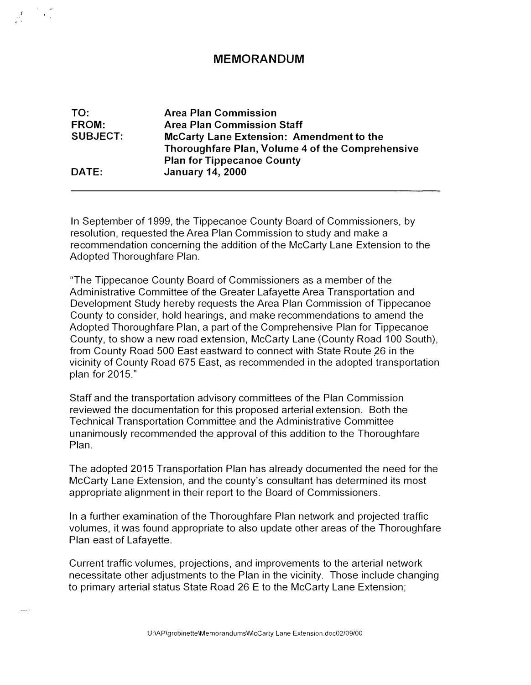## MEMORANDUM

 $\epsilon$  '

| TO:             | <b>Area Plan Commission</b>                      |  |  |
|-----------------|--------------------------------------------------|--|--|
| <b>FROM:</b>    | <b>Area Plan Commission Staff</b>                |  |  |
| <b>SUBJECT:</b> | <b>McCarty Lane Extension: Amendment to the</b>  |  |  |
|                 | Thoroughfare Plan, Volume 4 of the Comprehensive |  |  |
|                 | <b>Plan for Tippecanoe County</b>                |  |  |
| DATE:           | <b>January 14, 2000</b>                          |  |  |
|                 |                                                  |  |  |

In September of 1999; the Tippecanoe County Board of Commissioners, by resolution, requested the Area Plan Commission to study and make a recommendation concerning the addition of the McCarty Lane Extension to the Adopted Thoroughfare Plan.

"The Tippecanoe County Board of Commissioners as a member of the Administrative Committee of the Greater Lafayette Area Transportation and Development Study hereby requests the Area Plan Commission of Tippecanoe County to consider, hold hearings, and make recommendations to amend the Adopted Thoroughfare Plan, a part of the Comprehensive Plan for Tippecanoe County, to show a new road extension, McCarty Lane (County Road 100 South), from County Road 500 East eastward to connect with State Route 26 in the vicinity of County Road 675 East, as recommended in the adopted transportation plan for 2015."

Staff and the transportation advisory committees of the Plan Commission reviewed the documentation for this proposed arterial extension. Both the Technical Transportation Committee and the Administrative Committee unanimously recommended the approval of this addition to the Thoroughfare Plan.

The adopted 2015 Transportation Plan has already documented the need for the McCarty Lane Extension, and the county's consultant has determined its most appropriate alignment in their report to the Board of Commissioners.

In a further examination of the Thoroughfare Plan network and projected traffic volumes, it was found appropriate to also update other areas of the Thoroughfare Plan east of Lafayette.

Current traffic volumes, projections, and improvements to the arterial network necessitate other adjustments to the Plan in the vicinity. Those include changing to primary arterial status State Road 26 E to the McCarty Lane Extension;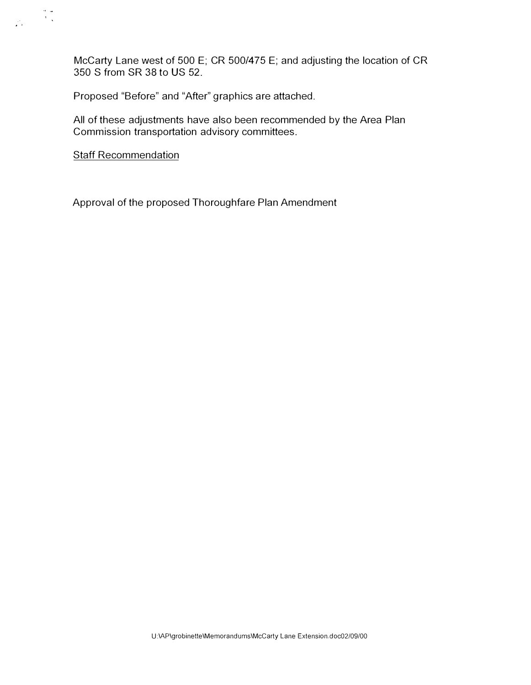McCarty Lane west of 500 E; CR 500/475 E; and adjusting the location of CR 350 S from SR 38 to US 52.

Proposed "Before" and "After" graphics are attached.

All of these adjustments have also been recommended by the Area Plan Commission transportation advisory committees.

**Staff Recommendation** 

Approval of the proposed Thoroughfare Plan Amendment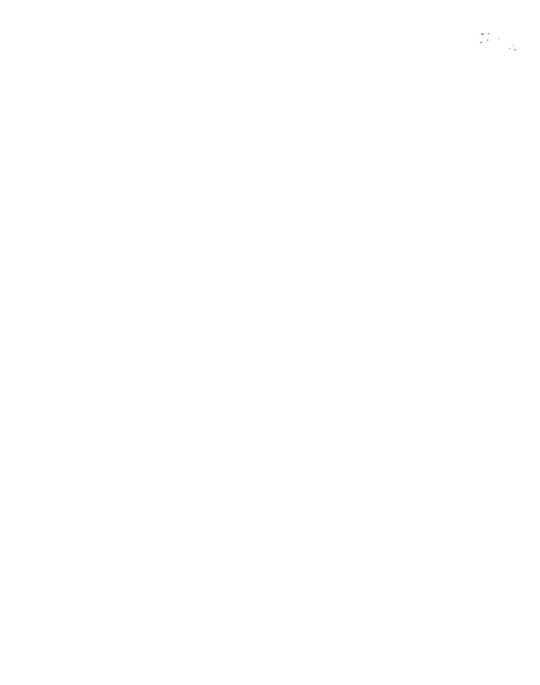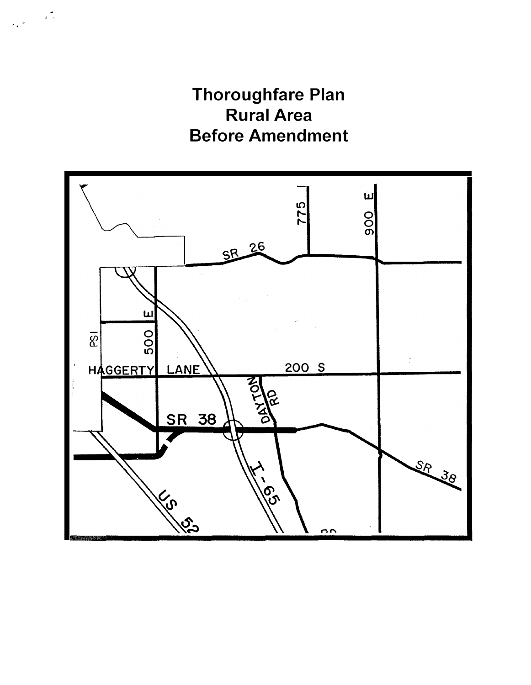# **Thoroughfare Plan Rural Area Before Amendment**

 $\begin{array}{c} \mathbf{z}_1 \\ \mathbf{z}_2 \\ \mathbf{z}_3 \end{array}$ 

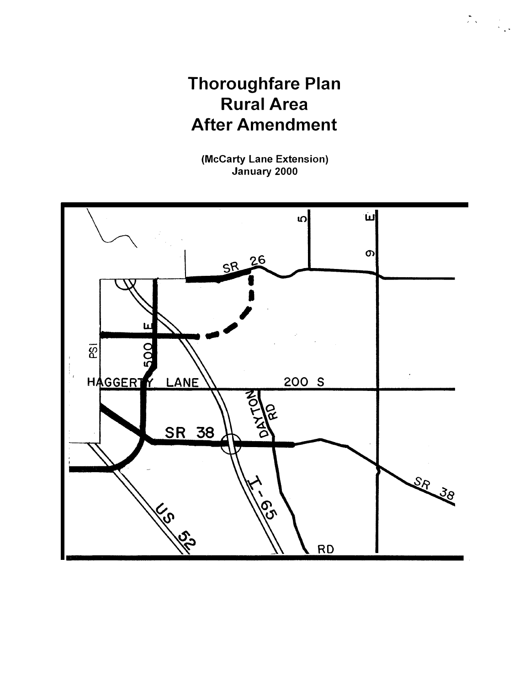# **Thoroughfare Plan Rural Area After Amendment**

(McCarty Lane Extension) January 2000

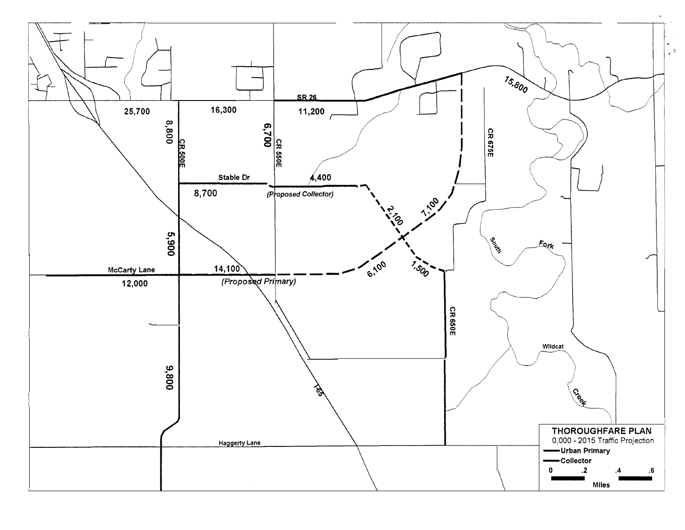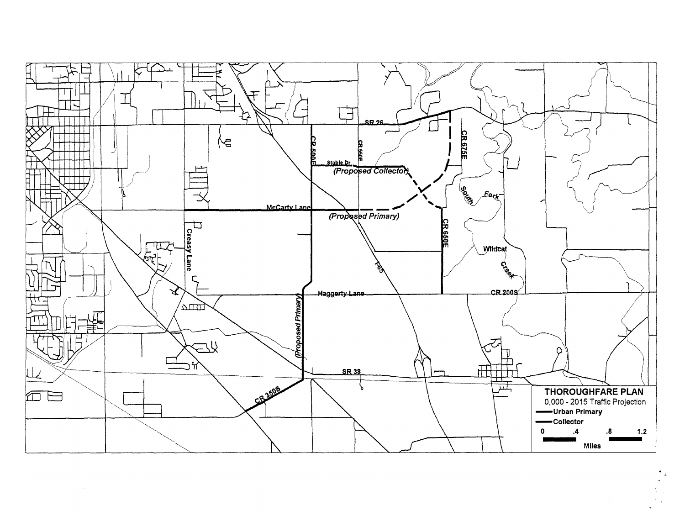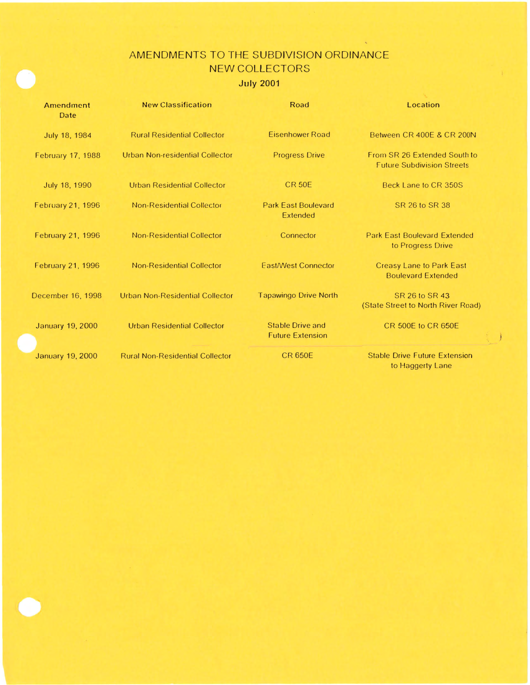## AMENDMENTS TO THE SUBDIVISION ORDINANCE NEW COLLECTORS July 2001

| Amendment<br><b>Date</b> | <b>New Classification</b>              | Road                                               | Location                                                          |
|--------------------------|----------------------------------------|----------------------------------------------------|-------------------------------------------------------------------|
| July 18, 1984            | <b>Rural Residential Collector</b>     | <b>Eisenhower Road</b>                             | Between CR 400E & CR 200N                                         |
| February 17, 1988        | Urban Non-residential Collector        | <b>Progress Drive</b>                              | From SR 26 Extended South to<br><b>Future Subdivision Streets</b> |
| <b>July 18, 1990</b>     | <b>Urban Residential Collector</b>     | <b>CR 50E</b>                                      | Beck Lane to CR 350S                                              |
| <b>February 21, 1996</b> | <b>Non-Residential Collector</b>       | <b>Park East Boulevard</b><br>Extended             | SR 26 to SR 38                                                    |
| <b>February 21, 1996</b> | <b>Non-Residential Collector</b>       | Connector                                          | <b>Park East Boulevard Extended</b><br>to Progress Drive          |
| <b>February 21, 1996</b> | <b>Non-Residential Collector</b>       | <b>East/West Connector</b>                         | <b>Creasy Lane to Park East</b><br><b>Boulevard Extended</b>      |
| December 16, 1998        | <b>Urban Non-Residential Collector</b> | <b>Tapawingo Drive North</b>                       | SR 26 to SR 43<br>(State Street to North River Road)              |
| <b>January 19, 2000</b>  | <b>Urban Residential Collector</b>     | <b>Stable Drive and</b><br><b>Future Extension</b> | CR 500E to CR 650E                                                |
| <b>January 19, 2000</b>  | <b>Rural Non-Residential Collector</b> | <b>CR 650E</b>                                     | <b>Stable Drive Future Extension</b><br>to Haggerty Lane          |

 $\langle \ \rangle$